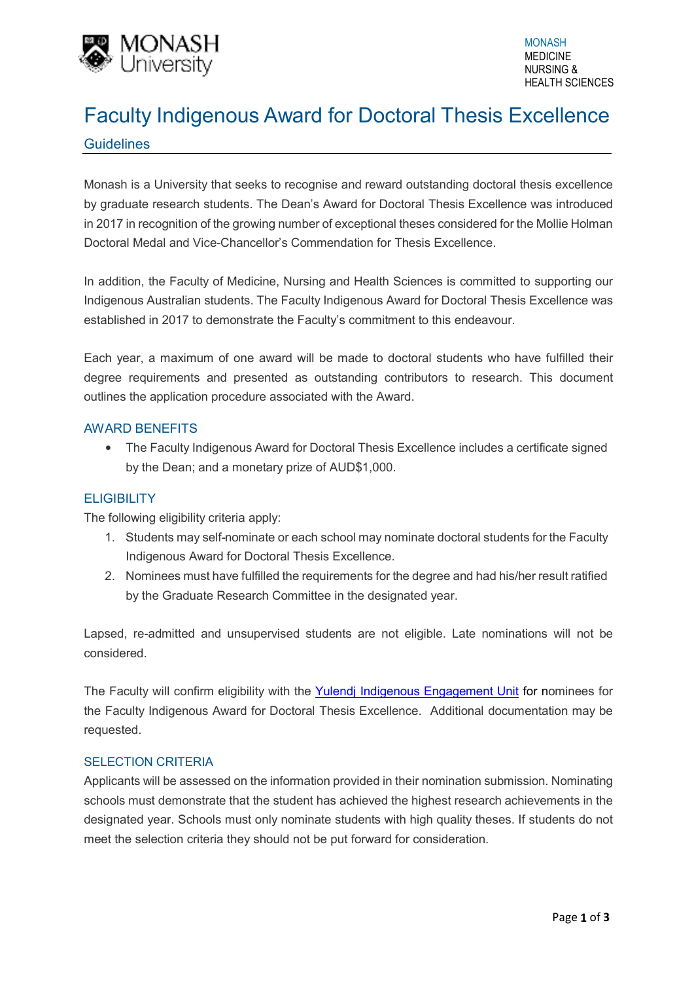

# Faculty Indigenous Award for Doctoral Thesis Excellence

# **Guidelines**

Monash is a University that seeks to recognise and reward outstanding doctoral thesis excellence by graduate research students. The Dean's Award for Doctoral Thesis Excellence was introduced in 2017 in recognition of the growing number of exceptional theses considered for the Mollie Holman Doctoral Medal and Vice-Chancellor's Commendation for Thesis Excellence.

In addition, the Faculty of Medicine, Nursing and Health Sciences is committed to supporting our Indigenous Australian students. The Faculty Indigenous Award for Doctoral Thesis Excellence was established in 2017 to demonstrate the Faculty's commitment to this endeavour.

Each year, a maximum of one award will be made to doctoral students who have fulfilled their degree requirements and presented as outstanding contributors to research. This document outlines the application procedure associated with the Award.

## AWARD BENEFITS

• The Faculty Indigenous Award for Doctoral Thesis Excellence includes a certificate signed by the Dean; and a monetary prize of AUD\$1,000.

# **ELIGIBILITY**

The following eligibility criteria apply:

- 1. Students may self-nominate or each school may nominate doctoral students for the Faculty Indigenous Award for Doctoral Thesis Excellence.
- 2. Nominees must have fulfilled the requirements for the degree and had his/her result ratified by the Graduate Research Committee in the designated year.

Lapsed, re-admitted and unsupervised students are not eligible. Late nominations will not be considered.

The Faculty will confirm eligibility with the Yulendj Indigenous Engagement Unit for nominees for the Faculty Indigenous Award for Doctoral Thesis Excellence. Additional documentation may be requested.

#### SELECTION CRITERIA

Applicants will be assessed on the information provided in their nomination submission. Nominating schools must demonstrate that the student has achieved the highest research achievements in the designated year. Schools must only nominate students with high quality theses. If students do not meet the selection criteria they should not be put forward for consideration.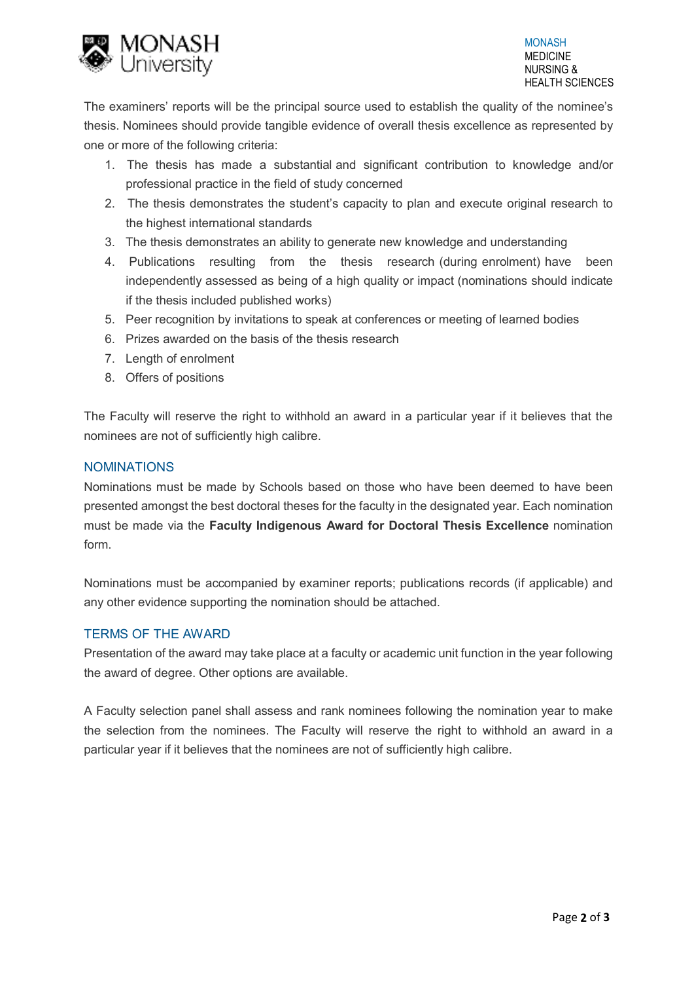

The examiners' reports will be the principal source used to establish the quality of the nominee's thesis. Nominees should provide tangible evidence of overall thesis excellence as represented by one or more of the following criteria:

- 1. The thesis has made a substantial and significant contribution to knowledge and/or professional practice in the field of study concerned
- 2. The thesis demonstrates the student's capacity to plan and execute original research to the highest international standards
- 3. The thesis demonstrates an ability to generate new knowledge and understanding
- 4. Publications resulting from the thesis research (during enrolment) have been independently assessed as being of a high quality or impact (nominations should indicate if the thesis included published works)
- 5. Peer recognition by invitations to speak at conferences or meeting of learned bodies
- 6. Prizes awarded on the basis of the thesis research
- 7. Length of enrolment
- 8. Offers of positions

The Faculty will reserve the right to withhold an award in a particular year if it believes that the nominees are not of sufficiently high calibre.

## NOMINATIONS

Nominations must be made by Schools based on those who have been deemed to have been presented amongst the best doctoral theses for the faculty in the designated year. Each nomination must be made via the **Faculty Indigenous Award for Doctoral Thesis Excellence** nomination form.

Nominations must be accompanied by examiner reports; publications records (if applicable) and any other evidence supporting the nomination should be attached.

# TERMS OF THE AWARD

Presentation of the award may take place at a faculty or academic unit function in the year following the award of degree. Other options are available.

A Faculty selection panel shall assess and rank nominees following the nomination year to make the selection from the nominees. The Faculty will reserve the right to withhold an award in a particular year if it believes that the nominees are not of sufficiently high calibre.